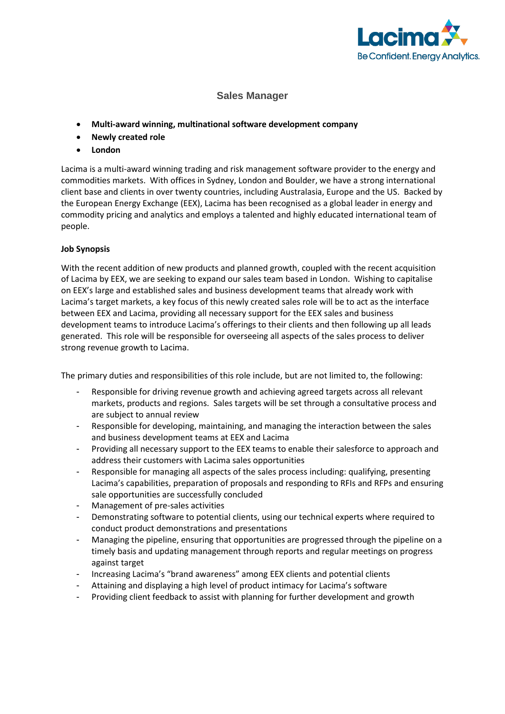

## **Sales Manager**

- **Multi-award winning, multinational software development company**
- **Newly created role**
- **London**

Lacima is a multi-award winning trading and risk management software provider to the energy and commodities markets. With offices in Sydney, London and Boulder, we have a strong international client base and clients in over twenty countries, including Australasia, Europe and the US. Backed by the European Energy Exchange (EEX), Lacima has been recognised as a global leader in energy and commodity pricing and analytics and employs a talented and highly educated international team of people.

## **Job Synopsis**

With the recent addition of new products and planned growth, coupled with the recent acquisition of Lacima by EEX, we are seeking to expand our sales team based in London. Wishing to capitalise on EEX's large and established sales and business development teams that already work with Lacima's target markets, a key focus of this newly created sales role will be to act as the interface between EEX and Lacima, providing all necessary support for the EEX sales and business development teams to introduce Lacima's offerings to their clients and then following up all leads generated. This role will be responsible for overseeing all aspects of the sales process to deliver strong revenue growth to Lacima.

The primary duties and responsibilities of this role include, but are not limited to, the following:

- Responsible for driving revenue growth and achieving agreed targets across all relevant markets, products and regions. Sales targets will be set through a consultative process and are subject to annual review
- Responsible for developing, maintaining, and managing the interaction between the sales and business development teams at EEX and Lacima
- Providing all necessary support to the EEX teams to enable their salesforce to approach and address their customers with Lacima sales opportunities
- Responsible for managing all aspects of the sales process including: qualifying, presenting Lacima's capabilities, preparation of proposals and responding to RFIs and RFPs and ensuring sale opportunities are successfully concluded
- Management of pre-sales activities
- Demonstrating software to potential clients, using our technical experts where required to conduct product demonstrations and presentations
- Managing the pipeline, ensuring that opportunities are progressed through the pipeline on a timely basis and updating management through reports and regular meetings on progress against target
- Increasing Lacima's "brand awareness" among EEX clients and potential clients
- Attaining and displaying a high level of product intimacy for Lacima's software
- Providing client feedback to assist with planning for further development and growth